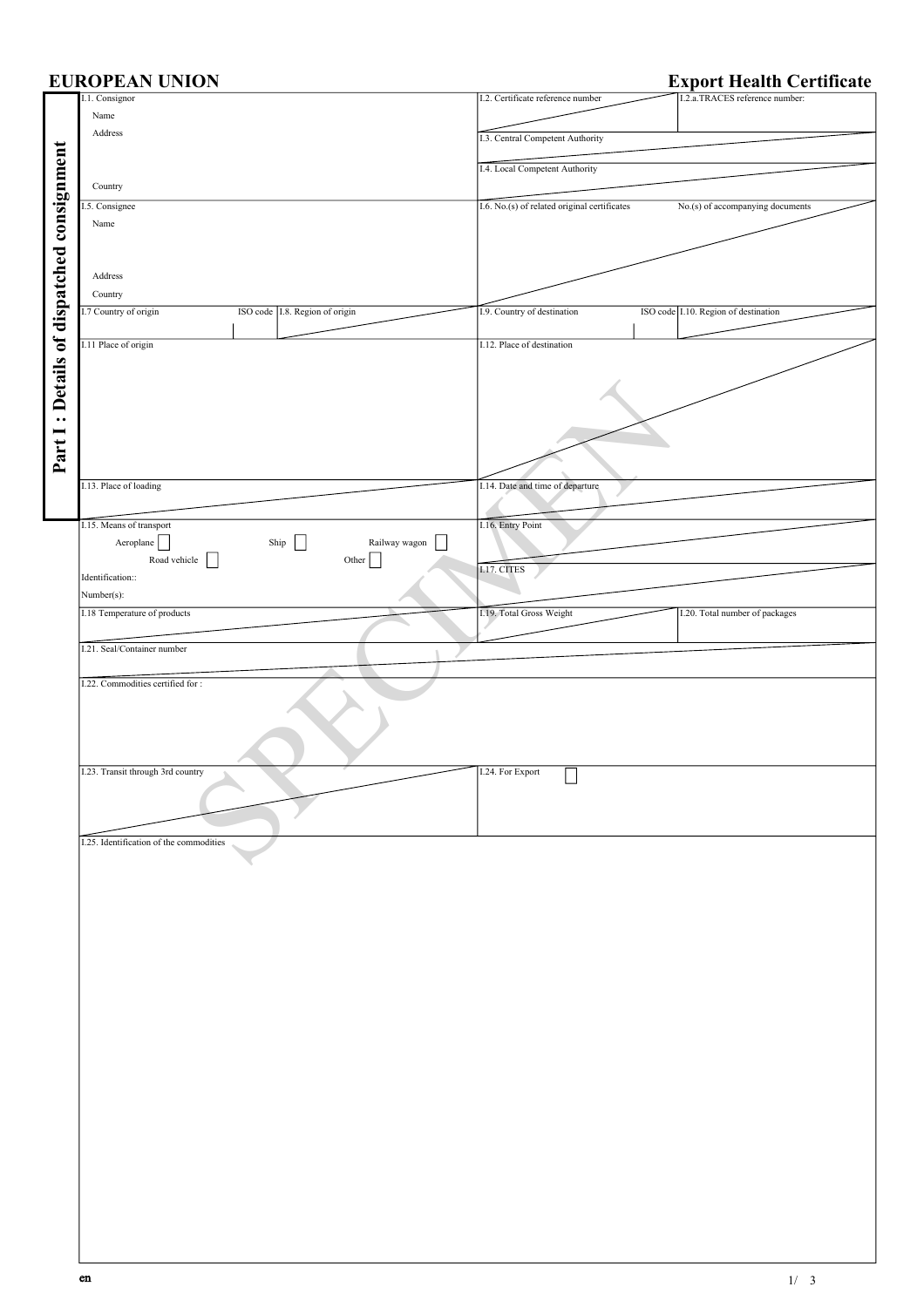|                                           | <b>EUROPEAN UNION</b>                   |                                                                     | <b>Export Health Certificate</b>  |                                  |                                |
|-------------------------------------------|-----------------------------------------|---------------------------------------------------------------------|-----------------------------------|----------------------------------|--------------------------------|
|                                           | I.1. Consignor                          |                                                                     | I.2. Certificate reference number |                                  | I.2.a.TRACES reference number: |
|                                           | Name                                    |                                                                     |                                   |                                  |                                |
|                                           | Address                                 | I.3. Central Competent Authority                                    |                                   |                                  |                                |
|                                           |                                         |                                                                     |                                   |                                  |                                |
|                                           |                                         |                                                                     | I.4. Local Competent Authority    |                                  |                                |
| Part I: Details of dispatched consignment | Country                                 |                                                                     |                                   |                                  |                                |
|                                           | I.5. Consignee                          | I.6. No.(s) of related original certificates                        |                                   | No.(s) of accompanying documents |                                |
|                                           | Name                                    |                                                                     |                                   |                                  |                                |
|                                           |                                         |                                                                     |                                   |                                  |                                |
|                                           | Address                                 |                                                                     |                                   |                                  |                                |
|                                           |                                         |                                                                     |                                   |                                  |                                |
|                                           | Country                                 |                                                                     |                                   |                                  |                                |
|                                           | I.7 Country of origin                   | I.9. Country of destination<br>ISO code I.10. Region of destination |                                   |                                  |                                |
|                                           |                                         | ISO code 1.8. Region of origin                                      |                                   |                                  |                                |
|                                           | I.11 Place of origin                    |                                                                     | I.12. Place of destination        |                                  |                                |
|                                           |                                         |                                                                     |                                   |                                  |                                |
|                                           |                                         |                                                                     |                                   |                                  |                                |
|                                           |                                         |                                                                     |                                   |                                  |                                |
|                                           |                                         |                                                                     |                                   |                                  |                                |
|                                           |                                         |                                                                     |                                   |                                  |                                |
|                                           |                                         |                                                                     |                                   |                                  |                                |
|                                           |                                         |                                                                     |                                   |                                  |                                |
|                                           | I.13. Place of loading                  |                                                                     | I.14. Date and time of departure  |                                  |                                |
|                                           |                                         |                                                                     |                                   |                                  |                                |
|                                           |                                         |                                                                     |                                   |                                  |                                |
|                                           | I.15. Means of transport                |                                                                     | I.16. Entry Point                 |                                  |                                |
|                                           | Aeroplane                               | ${\rm Ship}$<br>$\Box$<br>Railway wagon                             |                                   |                                  |                                |
|                                           | Road vehicle                            | Other $\vert \vert$                                                 | I.17. CITES                       |                                  |                                |
|                                           | Identification::                        |                                                                     |                                   |                                  |                                |
|                                           | Number(s):                              |                                                                     |                                   |                                  |                                |
|                                           | I.18 Temperature of products            |                                                                     | I.19. Total Gross Weight          |                                  | I.20. Total number of packages |
|                                           | I.21. Seal/Container number             |                                                                     |                                   |                                  |                                |
|                                           |                                         |                                                                     |                                   |                                  |                                |
|                                           | I.22. Commodities certified for:        |                                                                     |                                   |                                  |                                |
|                                           |                                         |                                                                     |                                   |                                  |                                |
|                                           |                                         |                                                                     |                                   |                                  |                                |
|                                           |                                         |                                                                     |                                   |                                  |                                |
|                                           |                                         |                                                                     |                                   |                                  |                                |
|                                           | I.23. Transit through 3rd country       |                                                                     | I.24. For Export                  |                                  |                                |
|                                           |                                         |                                                                     |                                   |                                  |                                |
|                                           |                                         |                                                                     |                                   |                                  |                                |
|                                           |                                         |                                                                     |                                   |                                  |                                |
|                                           | I.25. Identification of the commodities |                                                                     |                                   |                                  |                                |
|                                           |                                         |                                                                     |                                   |                                  |                                |
|                                           |                                         |                                                                     |                                   |                                  |                                |
|                                           |                                         |                                                                     |                                   |                                  |                                |
|                                           |                                         |                                                                     |                                   |                                  |                                |
|                                           |                                         |                                                                     |                                   |                                  |                                |
|                                           |                                         |                                                                     |                                   |                                  |                                |
|                                           |                                         |                                                                     |                                   |                                  |                                |
|                                           |                                         |                                                                     |                                   |                                  |                                |
|                                           |                                         |                                                                     |                                   |                                  |                                |
|                                           |                                         |                                                                     |                                   |                                  |                                |
|                                           |                                         |                                                                     |                                   |                                  |                                |
|                                           |                                         |                                                                     |                                   |                                  |                                |
|                                           |                                         |                                                                     |                                   |                                  |                                |
|                                           |                                         |                                                                     |                                   |                                  |                                |
|                                           |                                         |                                                                     |                                   |                                  |                                |
|                                           |                                         |                                                                     |                                   |                                  |                                |
|                                           |                                         |                                                                     |                                   |                                  |                                |
|                                           |                                         |                                                                     |                                   |                                  |                                |
|                                           |                                         |                                                                     |                                   |                                  |                                |
|                                           |                                         |                                                                     |                                   |                                  |                                |
|                                           |                                         |                                                                     |                                   |                                  |                                |
|                                           |                                         |                                                                     |                                   |                                  |                                |
|                                           |                                         |                                                                     |                                   |                                  |                                |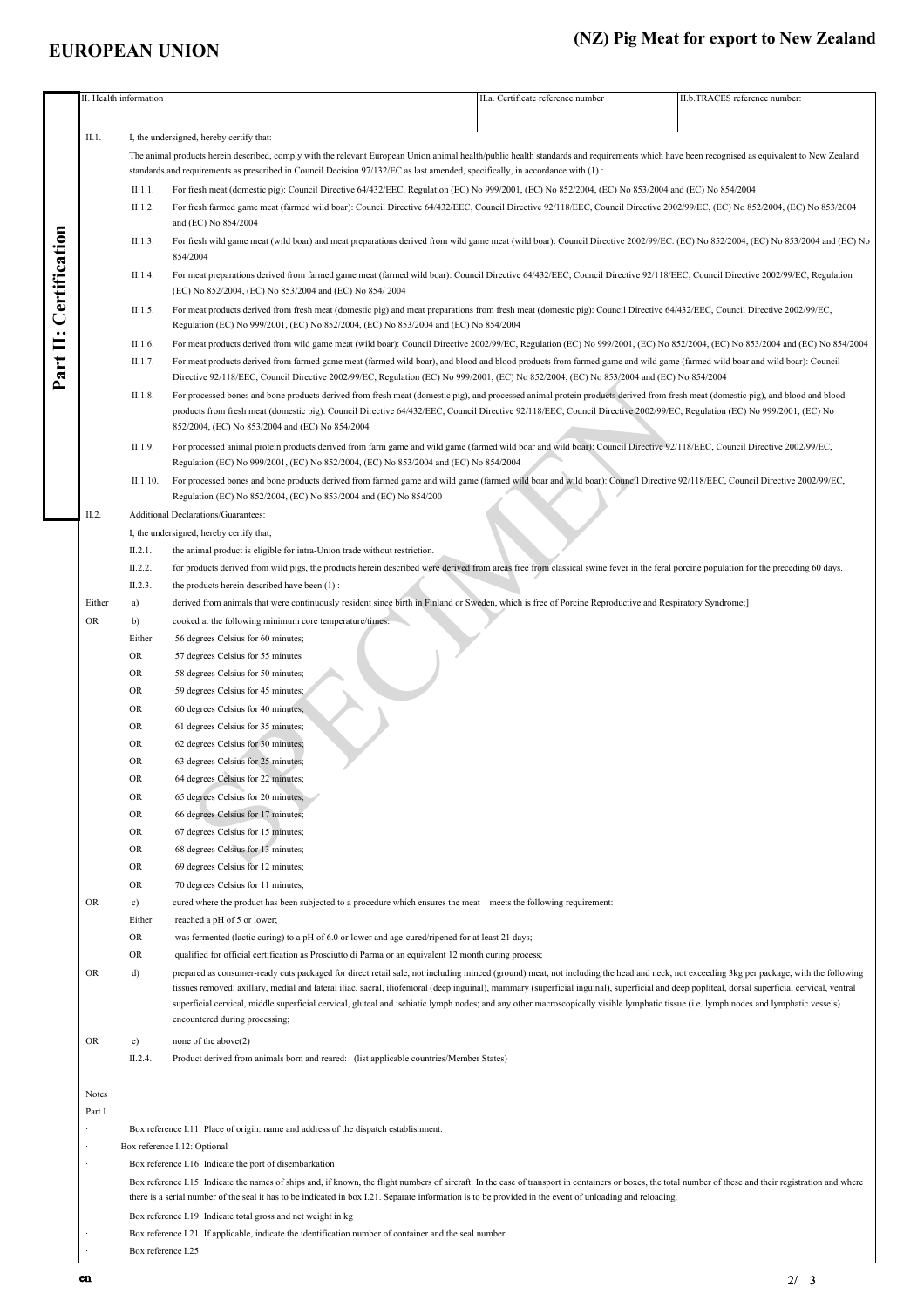## **EUROPEAN UNION**

## **(NZ) Pig Meat for export to New Zealand**

|                    |                                                                                                                                                                                                                           | II. Health information                                                                                                         |                                                                                                                                                                                                            | II.a. Certificate reference number | II.b.TRACES reference number: |  |  |  |
|--------------------|---------------------------------------------------------------------------------------------------------------------------------------------------------------------------------------------------------------------------|--------------------------------------------------------------------------------------------------------------------------------|------------------------------------------------------------------------------------------------------------------------------------------------------------------------------------------------------------|------------------------------------|-------------------------------|--|--|--|
|                    |                                                                                                                                                                                                                           |                                                                                                                                |                                                                                                                                                                                                            |                                    |                               |  |  |  |
|                    | II.1.                                                                                                                                                                                                                     |                                                                                                                                | I, the undersigned, hereby certify that:                                                                                                                                                                   |                                    |                               |  |  |  |
|                    |                                                                                                                                                                                                                           |                                                                                                                                | The animal products herein described, comply with the relevant European Union animal health/public health standards and requirements which have been recognised as equivalent to New Zealand               |                                    |                               |  |  |  |
|                    |                                                                                                                                                                                                                           |                                                                                                                                | standards and requirements as prescribed in Council Decision 97/132/EC as last amended, specifically, in accordance with (1):                                                                              |                                    |                               |  |  |  |
|                    |                                                                                                                                                                                                                           | II.1.1.                                                                                                                        | For fresh meat (domestic pig): Council Directive 64/432/EEC, Regulation (EC) No 999/2001, (EC) No 852/2004, (EC) No 853/2004 and (EC) No 854/2004                                                          |                                    |                               |  |  |  |
|                    |                                                                                                                                                                                                                           |                                                                                                                                |                                                                                                                                                                                                            |                                    |                               |  |  |  |
|                    |                                                                                                                                                                                                                           | II.1.2.                                                                                                                        | For fresh farmed game meat (farmed wild boar): Council Directive 64/432/EEC, Council Directive 92/118/EEC, Council Directive 2002/99/EC, (EC) No 852/2004, (EC) No 853/2004                                |                                    |                               |  |  |  |
|                    |                                                                                                                                                                                                                           |                                                                                                                                | and (EC) No 854/2004                                                                                                                                                                                       |                                    |                               |  |  |  |
|                    |                                                                                                                                                                                                                           | II.1.3.                                                                                                                        | For fresh wild game meat (wild boar) and meat preparations derived from wild game meat (wild boar): Council Directive 2002/99/EC, (EC) No 852/2004, (EC) No 853/2004 and (EC) No                           |                                    |                               |  |  |  |
|                    |                                                                                                                                                                                                                           |                                                                                                                                | 854/2004                                                                                                                                                                                                   |                                    |                               |  |  |  |
| Certification<br>Ë |                                                                                                                                                                                                                           | II.1.4.                                                                                                                        | For meat preparations derived from farmed game meat (farmed wild boar): Council Directive 64/432/EEC, Council Directive 92/118/EEC, Council Directive 2002/99/EC, Regulation                               |                                    |                               |  |  |  |
|                    |                                                                                                                                                                                                                           |                                                                                                                                | (EC) No 852/2004, (EC) No 853/2004 and (EC) No 854/2004                                                                                                                                                    |                                    |                               |  |  |  |
|                    |                                                                                                                                                                                                                           | II.1.5.                                                                                                                        | For meat products derived from fresh meat (domestic pig) and meat preparations from fresh meat (domestic pig): Council Directive 64/432/EEC, Council Directive 2002/99/EC,                                 |                                    |                               |  |  |  |
|                    |                                                                                                                                                                                                                           |                                                                                                                                | Regulation (EC) No 999/2001, (EC) No 852/2004, (EC) No 853/2004 and (EC) No 854/2004                                                                                                                       |                                    |                               |  |  |  |
|                    |                                                                                                                                                                                                                           | II.1.6.                                                                                                                        | For meat products derived from wild game meat (wild boar): Council Directive 2002/99/EC, Regulation (EC) No 999/2001, (EC) No 852/2004, (EC) No 853/2004 and (EC) No 854/2004                              |                                    |                               |  |  |  |
|                    |                                                                                                                                                                                                                           | II.1.7.                                                                                                                        | For meat products derived from farmed game meat (farmed wild boar), and blood and blood products from farmed game and wild game (farmed wild boar and wild boar): Council                                  |                                    |                               |  |  |  |
| Part               |                                                                                                                                                                                                                           |                                                                                                                                | Directive 92/118/EEC, Council Directive 2002/99/EC, Regulation (EC) No 999/2001, (EC) No 852/2004, (EC) No 853/2004 and (EC) No 854/2004                                                                   |                                    |                               |  |  |  |
|                    |                                                                                                                                                                                                                           |                                                                                                                                |                                                                                                                                                                                                            |                                    |                               |  |  |  |
|                    |                                                                                                                                                                                                                           | II.1.8.                                                                                                                        | For processed bones and bone products derived from fresh meat (domestic pig), and processed animal protein products derived from fresh meat (domestic pig), and blood and blood                            |                                    |                               |  |  |  |
|                    |                                                                                                                                                                                                                           |                                                                                                                                | products from fresh meat (domestic pig): Council Directive 64/432/EEC, Council Directive 92/118/EEC, Council Directive 2002/99/EC, Regulation (EC) No 999/2001, (EC) No                                    |                                    |                               |  |  |  |
|                    |                                                                                                                                                                                                                           |                                                                                                                                | 852/2004, (EC) No 853/2004 and (EC) No 854/2004                                                                                                                                                            |                                    |                               |  |  |  |
|                    |                                                                                                                                                                                                                           | II.1.9.                                                                                                                        | For processed animal protein products derived from farm game and wild game (farmed wild boar and wild boar); Council Directive 92/118/EEC, Council Directive 2002/99/EC,                                   |                                    |                               |  |  |  |
|                    |                                                                                                                                                                                                                           |                                                                                                                                | Regulation (EC) No 999/2001, (EC) No 852/2004, (EC) No 853/2004 and (EC) No 854/2004                                                                                                                       |                                    |                               |  |  |  |
|                    |                                                                                                                                                                                                                           | II.1.10.                                                                                                                       | For processed bones and bone products derived from farmed game and wild game (farmed wild boar and wild boar): Council Directive 92/118/EEC, Council Directive 2002/99/EC,                                 |                                    |                               |  |  |  |
|                    |                                                                                                                                                                                                                           |                                                                                                                                | Regulation (EC) No 852/2004, (EC) No 853/2004 and (EC) No 854/200                                                                                                                                          |                                    |                               |  |  |  |
|                    | II.2.                                                                                                                                                                                                                     |                                                                                                                                | Additional Declarations/Guarantees:                                                                                                                                                                        |                                    |                               |  |  |  |
|                    |                                                                                                                                                                                                                           |                                                                                                                                | I, the undersigned, hereby certify that;                                                                                                                                                                   |                                    |                               |  |  |  |
|                    |                                                                                                                                                                                                                           | II.2.1.                                                                                                                        | the animal product is eligible for intra-Union trade without restriction.                                                                                                                                  |                                    |                               |  |  |  |
|                    |                                                                                                                                                                                                                           | II.2.2.                                                                                                                        | for products derived from wild pigs, the products herein described were derived from areas free from classical swine fever in the feral porcine population for the preceding 60 days.                      |                                    |                               |  |  |  |
|                    |                                                                                                                                                                                                                           | II.2.3.                                                                                                                        |                                                                                                                                                                                                            |                                    |                               |  |  |  |
|                    |                                                                                                                                                                                                                           |                                                                                                                                | the products herein described have been (1):                                                                                                                                                               |                                    |                               |  |  |  |
|                    | Either                                                                                                                                                                                                                    | a)                                                                                                                             | derived from animals that were continuously resident since birth in Finland or Sweden, which is free of Porcine Reproductive and Respiratory Syndrome;]                                                    |                                    |                               |  |  |  |
|                    | <b>OR</b>                                                                                                                                                                                                                 | b)                                                                                                                             | cooked at the following minimum core temperature/times:                                                                                                                                                    |                                    |                               |  |  |  |
|                    |                                                                                                                                                                                                                           | Either                                                                                                                         | 56 degrees Celsius for 60 minutes;                                                                                                                                                                         |                                    |                               |  |  |  |
|                    |                                                                                                                                                                                                                           | OR                                                                                                                             | 57 degrees Celsius for 55 minutes                                                                                                                                                                          |                                    |                               |  |  |  |
|                    |                                                                                                                                                                                                                           | OR                                                                                                                             | 58 degrees Celsius for 50 minutes;                                                                                                                                                                         |                                    |                               |  |  |  |
|                    |                                                                                                                                                                                                                           | <b>OR</b>                                                                                                                      | 59 degrees Celsius for 45 minutes;                                                                                                                                                                         |                                    |                               |  |  |  |
|                    |                                                                                                                                                                                                                           | OR                                                                                                                             | 60 degrees Celsius for 40 minutes;                                                                                                                                                                         |                                    |                               |  |  |  |
|                    |                                                                                                                                                                                                                           | OR                                                                                                                             | 61 degrees Celsius for 35 minutes;                                                                                                                                                                         |                                    |                               |  |  |  |
|                    |                                                                                                                                                                                                                           | <b>OR</b>                                                                                                                      | 62 degrees Celsius for 30 minutes;                                                                                                                                                                         |                                    |                               |  |  |  |
|                    |                                                                                                                                                                                                                           | <b>OR</b>                                                                                                                      | 63 degrees Celsius for 25 minutes;                                                                                                                                                                         |                                    |                               |  |  |  |
|                    |                                                                                                                                                                                                                           | <b>OR</b>                                                                                                                      |                                                                                                                                                                                                            |                                    |                               |  |  |  |
|                    |                                                                                                                                                                                                                           |                                                                                                                                | 64 degrees Celsius for 22 minutes;                                                                                                                                                                         |                                    |                               |  |  |  |
|                    |                                                                                                                                                                                                                           | OR                                                                                                                             | 65 degrees Celsius for 20 minutes;                                                                                                                                                                         |                                    |                               |  |  |  |
|                    |                                                                                                                                                                                                                           | OR                                                                                                                             | 66 degrees Celsius for 17 minutes;                                                                                                                                                                         |                                    |                               |  |  |  |
|                    |                                                                                                                                                                                                                           | OR                                                                                                                             | 67 degrees Celsius for 15 minutes;                                                                                                                                                                         |                                    |                               |  |  |  |
|                    |                                                                                                                                                                                                                           | OR                                                                                                                             | 68 degrees Celsius for 13 minutes;                                                                                                                                                                         |                                    |                               |  |  |  |
|                    |                                                                                                                                                                                                                           | <b>OR</b>                                                                                                                      | 69 degrees Celsius for 12 minutes;                                                                                                                                                                         |                                    |                               |  |  |  |
|                    |                                                                                                                                                                                                                           | OR                                                                                                                             | 70 degrees Celsius for 11 minutes;                                                                                                                                                                         |                                    |                               |  |  |  |
|                    | <b>OR</b>                                                                                                                                                                                                                 | c)                                                                                                                             | cured where the product has been subjected to a procedure which ensures the meat meets the following requirement:                                                                                          |                                    |                               |  |  |  |
|                    |                                                                                                                                                                                                                           | Either                                                                                                                         | reached a pH of 5 or lower;                                                                                                                                                                                |                                    |                               |  |  |  |
|                    |                                                                                                                                                                                                                           | OR                                                                                                                             | was fermented (lactic curing) to a pH of 6.0 or lower and age-cured/ripened for at least 21 days;                                                                                                          |                                    |                               |  |  |  |
|                    |                                                                                                                                                                                                                           | <b>OR</b>                                                                                                                      | qualified for official certification as Prosciutto di Parma or an equivalent 12 month curing process;                                                                                                      |                                    |                               |  |  |  |
|                    | <b>OR</b>                                                                                                                                                                                                                 | d)                                                                                                                             | prepared as consumer-ready cuts packaged for direct retail sale, not including minced (ground) meat, not including the head and neck, not exceeding 3kg per package, with the following                    |                                    |                               |  |  |  |
|                    |                                                                                                                                                                                                                           |                                                                                                                                | tissues removed: axillary, medial and lateral iliac, sacral, iliofemoral (deep inguinal), mammary (superficial inguinal), superficial and deep popliteal, dorsal superficial cervical, ventral             |                                    |                               |  |  |  |
|                    |                                                                                                                                                                                                                           |                                                                                                                                | superficial cervical, middle superficial cervical, gluteal and ischiatic lymph nodes; and any other macroscopically visible lymphatic tissue (i.e. lymph nodes and lymphatic vessels)                      |                                    |                               |  |  |  |
|                    |                                                                                                                                                                                                                           |                                                                                                                                | encountered during processing;                                                                                                                                                                             |                                    |                               |  |  |  |
|                    |                                                                                                                                                                                                                           |                                                                                                                                |                                                                                                                                                                                                            |                                    |                               |  |  |  |
|                    | <b>OR</b>                                                                                                                                                                                                                 | e)                                                                                                                             | none of the above(2)                                                                                                                                                                                       |                                    |                               |  |  |  |
|                    |                                                                                                                                                                                                                           | II.2.4.                                                                                                                        | Product derived from animals born and reared: (list applicable countries/Member States)                                                                                                                    |                                    |                               |  |  |  |
|                    |                                                                                                                                                                                                                           |                                                                                                                                |                                                                                                                                                                                                            |                                    |                               |  |  |  |
|                    | Notes                                                                                                                                                                                                                     |                                                                                                                                |                                                                                                                                                                                                            |                                    |                               |  |  |  |
|                    | Part I                                                                                                                                                                                                                    |                                                                                                                                |                                                                                                                                                                                                            |                                    |                               |  |  |  |
|                    | Box reference I.11: Place of origin: name and address of the dispatch establishment.<br>Box reference I.12: Optional                                                                                                      |                                                                                                                                |                                                                                                                                                                                                            |                                    |                               |  |  |  |
|                    |                                                                                                                                                                                                                           |                                                                                                                                |                                                                                                                                                                                                            |                                    |                               |  |  |  |
|                    |                                                                                                                                                                                                                           |                                                                                                                                | Box reference I.16: Indicate the port of disembarkation                                                                                                                                                    |                                    |                               |  |  |  |
|                    | $\cdot$                                                                                                                                                                                                                   |                                                                                                                                | Box reference I.15: Indicate the names of ships and, if known, the flight numbers of aircraft. In the case of transport in containers or boxes, the total number of these and their registration and where |                                    |                               |  |  |  |
|                    |                                                                                                                                                                                                                           |                                                                                                                                |                                                                                                                                                                                                            |                                    |                               |  |  |  |
|                    | there is a serial number of the seal it has to be indicated in box 1.21. Separate information is to be provided in the event of unloading and reloading.<br>Box reference I.19: Indicate total gross and net weight in kg |                                                                                                                                |                                                                                                                                                                                                            |                                    |                               |  |  |  |
|                    |                                                                                                                                                                                                                           | Box reference I.21: If applicable, indicate the identification number of container and the seal number.<br>Box reference I.25: |                                                                                                                                                                                                            |                                    |                               |  |  |  |
|                    |                                                                                                                                                                                                                           |                                                                                                                                |                                                                                                                                                                                                            |                                    |                               |  |  |  |
|                    |                                                                                                                                                                                                                           |                                                                                                                                |                                                                                                                                                                                                            |                                    |                               |  |  |  |